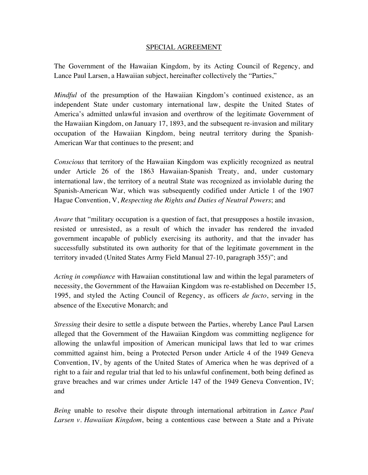### SPECIAL AGREEMENT

The Government of the Hawaiian Kingdom, by its Acting Council of Regency, and Lance Paul Larsen, a Hawaiian subject, hereinafter collectively the "Parties,"

*Mindful* of the presumption of the Hawaiian Kingdom's continued existence, as an independent State under customary international law, despite the United States of America's admitted unlawful invasion and overthrow of the legitimate Government of the Hawaiian Kingdom, on January 17, 1893, and the subsequent re-invasion and military occupation of the Hawaiian Kingdom, being neutral territory during the Spanish-American War that continues to the present; and

*Conscious* that territory of the Hawaiian Kingdom was explicitly recognized as neutral under Article 26 of the 1863 Hawaiian-Spanish Treaty, and, under customary international law, the territory of a neutral State was recognized as inviolable during the Spanish-American War, which was subsequently codified under Article 1 of the 1907 Hague Convention, V, *Respecting the Rights and Duties of Neutral Powers*; and

*Aware* that "military occupation is a question of fact, that presupposes a hostile invasion, resisted or unresisted, as a result of which the invader has rendered the invaded government incapable of publicly exercising its authority, and that the invader has successfully substituted its own authority for that of the legitimate government in the territory invaded (United States Army Field Manual 27-10, paragraph 355)"; and

*Acting in compliance* with Hawaiian constitutional law and within the legal parameters of necessity, the Government of the Hawaiian Kingdom was re-established on December 15, 1995, and styled the Acting Council of Regency, as officers *de facto*, serving in the absence of the Executive Monarch; and

*Stressing* their desire to settle a dispute between the Parties, whereby Lance Paul Larsen alleged that the Government of the Hawaiian Kingdom was committing negligence for allowing the unlawful imposition of American municipal laws that led to war crimes committed against him, being a Protected Person under Article 4 of the 1949 Geneva Convention, IV, by agents of the United States of America when he was deprived of a right to a fair and regular trial that led to his unlawful confinement, both being defined as grave breaches and war crimes under Article 147 of the 1949 Geneva Convention, IV; and

*Being* unable to resolve their dispute through international arbitration in *Lance Paul Larsen v. Hawaiian Kingdom*, being a contentious case between a State and a Private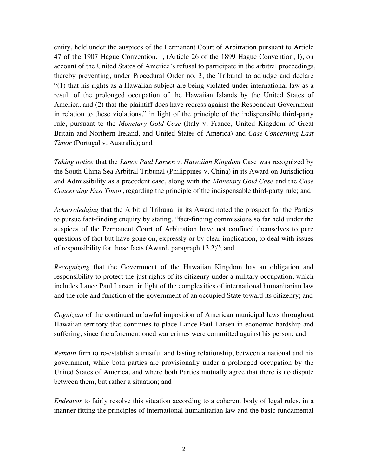entity, held under the auspices of the Permanent Court of Arbitration pursuant to Article 47 of the 1907 Hague Convention, I, (Article 26 of the 1899 Hague Convention, I), on account of the United States of America's refusal to participate in the arbitral proceedings, thereby preventing, under Procedural Order no. 3, the Tribunal to adjudge and declare "(1) that his rights as a Hawaiian subject are being violated under international law as a result of the prolonged occupation of the Hawaiian Islands by the United States of America, and (2) that the plaintiff does have redress against the Respondent Government in relation to these violations," in light of the principle of the indispensible third-party rule, pursuant to the *Monetary Gold Case* (Italy v. France, United Kingdom of Great Britain and Northern Ireland, and United States of America) and *Case Concerning East Timor* (Portugal v. Australia); and

*Taking notice* that the *Lance Paul Larsen v. Hawaiian Kingdom* Case was recognized by the South China Sea Arbitral Tribunal (Philippines v. China) in its Award on Jurisdiction and Admissibility as a precedent case, along with the *Monetary Gold Case* and the *Case Concerning East Timor*, regarding the principle of the indispensable third-party rule; and

*Acknowledging* that the Arbitral Tribunal in its Award noted the prospect for the Parties to pursue fact-finding enquiry by stating, "fact-finding commissions so far held under the auspices of the Permanent Court of Arbitration have not confined themselves to pure questions of fact but have gone on, expressly or by clear implication, to deal with issues of responsibility for those facts (Award, paragraph 13.2)"; and

*Recognizing* that the Government of the Hawaiian Kingdom has an obligation and responsibility to protect the just rights of its citizenry under a military occupation, which includes Lance Paul Larsen, in light of the complexities of international humanitarian law and the role and function of the government of an occupied State toward its citizenry; and

*Cognizant* of the continued unlawful imposition of American municipal laws throughout Hawaiian territory that continues to place Lance Paul Larsen in economic hardship and suffering, since the aforementioned war crimes were committed against his person; and

*Remain* firm to re-establish a trustful and lasting relationship, between a national and his government, while both parties are provisionally under a prolonged occupation by the United States of America, and where both Parties mutually agree that there is no dispute between them, but rather a situation; and

*Endeavor* to fairly resolve this situation according to a coherent body of legal rules, in a manner fitting the principles of international humanitarian law and the basic fundamental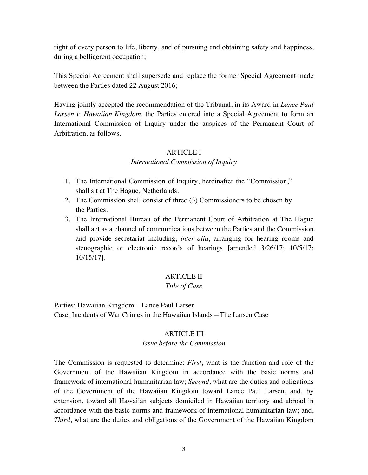right of every person to life, liberty, and of pursuing and obtaining safety and happiness, during a belligerent occupation;

This Special Agreement shall supersede and replace the former Special Agreement made between the Parties dated 22 August 2016;

Having jointly accepted the recommendation of the Tribunal, in its Award in *Lance Paul Larsen v. Hawaiian Kingdom,* the Parties entered into a Special Agreement to form an International Commission of Inquiry under the auspices of the Permanent Court of Arbitration, as follows,

# ARTICLE I

### *International Commission of Inquiry*

- 1. The International Commission of Inquiry, hereinafter the "Commission," shall sit at The Hague, Netherlands.
- 2. The Commission shall consist of three (3) Commissioners to be chosen by the Parties.
- 3. The International Bureau of the Permanent Court of Arbitration at The Hague shall act as a channel of communications between the Parties and the Commission, and provide secretariat including, *inter alia*, arranging for hearing rooms and stenographic or electronic records of hearings [amended 3/26/17; 10/5/17; 10/15/17].

# ARTICLE II

# *Title of Case*

Parties: Hawaiian Kingdom – Lance Paul Larsen Case: Incidents of War Crimes in the Hawaiian Islands—The Larsen Case

# ARTICLE III

# *Issue before the Commission*

The Commission is requested to determine: *First*, what is the function and role of the Government of the Hawaiian Kingdom in accordance with the basic norms and framework of international humanitarian law; *Second*, what are the duties and obligations of the Government of the Hawaiian Kingdom toward Lance Paul Larsen, and, by extension, toward all Hawaiian subjects domiciled in Hawaiian territory and abroad in accordance with the basic norms and framework of international humanitarian law; and, *Third*, what are the duties and obligations of the Government of the Hawaiian Kingdom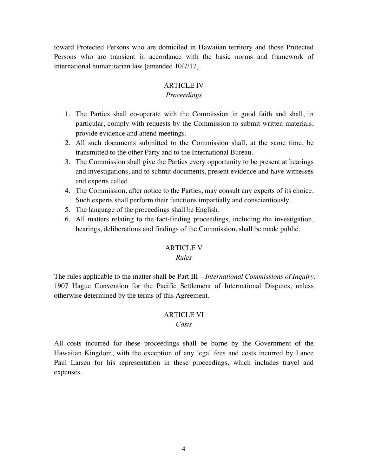toward Protected Persons who are domiciled in Hawaiian territory and those Protected Persons who are transient in accordance with the basic norms and framework of international humanitarian law [amended 10/7/17].

### ARTICLE IV

### *Proceedings*

- 1. The Parties shall co-operate with the Commission in good faith and shall, in particular, comply with requests by the Commission to submit written materials, provide evidence and attend meetings.
- 2. All such documents submitted to the Commission shall, at the same time, be transmitted to the other Party and to the International Bureau.
- 3. The Commission shall give the Parties every opportunity to be present at hearings and investigations, and to submit documents, present evidence and have witnesses and experts called.
- 4. The Commission, after notice to the Parties, may consult any experts of its choice. Such experts shall perform their functions impartially and conscientiously.
- 5. The language of the proceedings shall be English.
- 6. All matters relating to the fact-finding proceedings, including the investigation, hearings, deliberations and findings of the Commission, shall be made public.

### ARTICLE V

### *Rules*

The rules applicable to the matter shall be Part III—*International Commissions of Inquiry*, 1907 Hague Convention for the Pacific Settlement of International Disputes, unless otherwise determined by the terms of this Agreement.

# ARTICLE VI

### *Costs*

All costs incurred for these proceedings shall be borne by the Government of the Hawaiian Kingdom, with the exception of any legal fees and costs incurred by Lance Paul Larsen for his representation in these proceedings, which includes travel and expenses.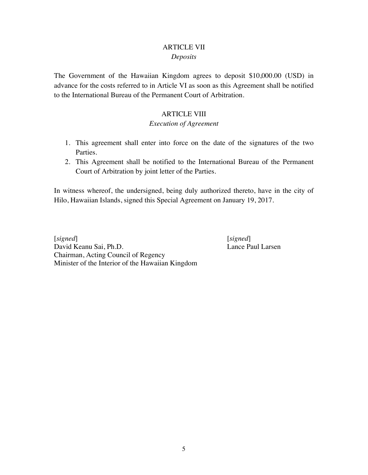### ARTICLE VII *Deposits*

The Government of the Hawaiian Kingdom agrees to deposit \$10,000.00 (USD) in advance for the costs referred to in Article VI as soon as this Agreement shall be notified to the International Bureau of the Permanent Court of Arbitration.

### ARTICLE VIII

### *Execution of Agreement*

- 1. This agreement shall enter into force on the date of the signatures of the two Parties.
- 2. This Agreement shall be notified to the International Bureau of the Permanent Court of Arbitration by joint letter of the Parties.

In witness whereof, the undersigned, being duly authorized thereto, have in the city of Hilo, Hawaiian Islands, signed this Special Agreement on January 19, 2017.

[*signed*] [*signed*] David Keanu Sai, Ph.D. Lance Paul Larsen Chairman, Acting Council of Regency Minister of the Interior of the Hawaiian Kingdom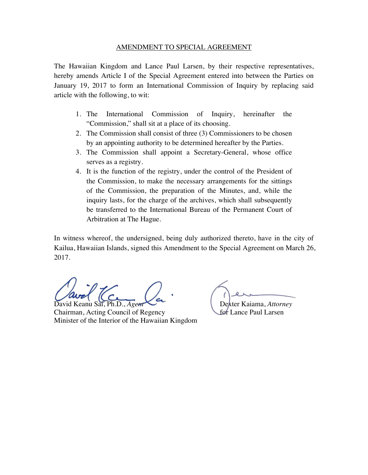The Hawaiian Kingdom and Lance Paul Larsen, by their respective representatives, hereby amends Article I of the Special Agreement entered into between the Parties on January 19, 2017 to form an International Commission of Inquiry by replacing said article with the following, to wit:

- 1. The International Commission of Inquiry, hereinafter the "Commission," shall sit at a place of its choosing.
- 2. The Commission shall consist of three (3) Commissioners to be chosen by an appointing authority to be determined hereafter by the Parties.
- 3. The Commission shall appoint a Secretary-General, whose office serves as a registry.
- 4. It is the function of the registry, under the control of the President of the Commission, to make the necessary arrangements for the sittings of the Commission, the preparation of the Minutes, and, while the inquiry lasts, for the charge of the archives, which shall subsequently be transferred to the International Bureau of the Permanent Court of Arbitration at The Hague.

In witness whereof, the undersigned, being duly authorized thereto, have in the city of Kailua, Hawaiian Islands, signed this Amendment to the Special Agreement on March 26, 2017.

David Keanu Sai, Ph.D., *Agent* Company Dexter Kaiama, *Attorney* 

Chairman, Acting Council of Regency for Lance Paul Larsen Minister of the Interior of the Hawaiian Kingdom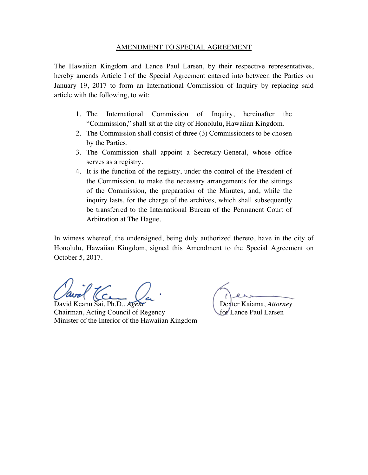The Hawaiian Kingdom and Lance Paul Larsen, by their respective representatives, hereby amends Article I of the Special Agreement entered into between the Parties on January 19, 2017 to form an International Commission of Inquiry by replacing said article with the following, to wit:

- 1. The International Commission of Inquiry, hereinafter the "Commission," shall sit at the city of Honolulu, Hawaiian Kingdom.
- 2. The Commission shall consist of three (3) Commissioners to be chosen by the Parties.
- 3. The Commission shall appoint a Secretary-General, whose office serves as a registry.
- 4. It is the function of the registry, under the control of the President of the Commission, to make the necessary arrangements for the sittings of the Commission, the preparation of the Minutes, and, while the inquiry lasts, for the charge of the archives, which shall subsequently be transferred to the International Bureau of the Permanent Court of Arbitration at The Hague.

In witness whereof, the undersigned, being duly authorized thereto, have in the city of Honolulu, Hawaiian Kingdom, signed this Amendment to the Special Agreement on October 5, 2017.

Chairman, Acting Council of Regency for Lance Paul Larsen Minister of the Interior of the Hawaiian Kingdom

David Keanu Sai, Ph.D., *Agent* **Dexter Kaiama**, *Attorney*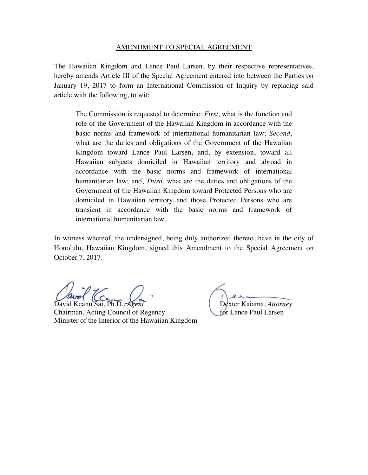The Hawaiian Kingdom and Lance Paul Larsen, by their respective representatives, hereby amends Article III of the Special Agreement entered into between the Parties on January 19, 2017 to form an International Commission of Inquiry by replacing said article with the following, to wit:

The Commission is requested to determine: *First*, what is the function and role of the Government of the Hawaiian Kingdom in accordance with the basic norms and framework of international humanitarian law; *Second*, what are the duties and obligations of the Government of the Hawaiian Kingdom toward Lance Paul Larsen, and, by extension, toward all Hawaiian subjects domiciled in Hawaiian territory and abroad in accordance with the basic norms and framework of international humanitarian law; and, *Third*, what are the duties and obligations of the Government of the Hawaiian Kingdom toward Protected Persons who are domiciled in Hawaiian territory and those Protected Persons who are transient in accordance with the basic norms and framework of international humanitarian law.

In witness whereof, the undersigned, being duly authorized thereto, have in the city of Honolulu, Hawaiian Kingdom, signed this Amendment to the Special Agreement on October 7, 2017.

David Keanu Sai, Ph.D., *Agent*<br>
Chairman, Acting Council of Regency<br>
for Lance Paul Larsen Chairman, Acting Council of Regency Minister of the Interior of the Hawaiian Kingdom